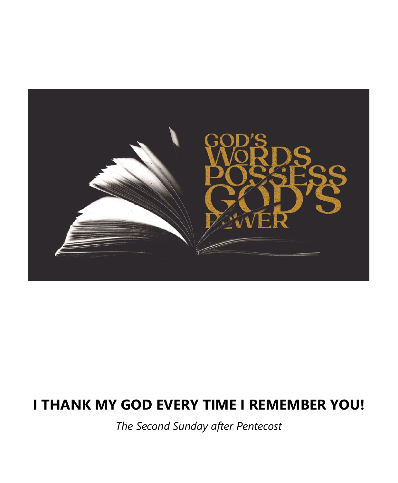

# **I THANK MY GOD EVERY TIME I REMEMBER YOU!**

*The Second Sunday after Pentecost*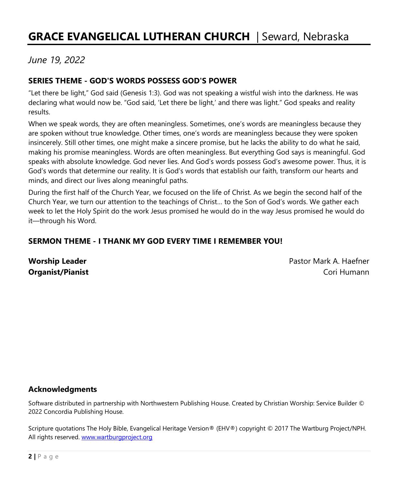# **GRACE EVANGELICAL LUTHERAN CHURCH** | Seward, Nebraska

### *June 19, 2022*

#### **SERIES THEME - GOD'S WORDS POSSESS GOD'S POWER**

"Let there be light," God said (Genesis 1:3). God was not speaking a wistful wish into the darkness. He was declaring what would now be. "God said, 'Let there be light,' and there was light." God speaks and reality results.

When we speak words, they are often meaningless. Sometimes, one's words are meaningless because they are spoken without true knowledge. Other times, one's words are meaningless because they were spoken insincerely. Still other times, one might make a sincere promise, but he lacks the ability to do what he said, making his promise meaningless. Words are often meaningless. But everything God says is meaningful. God speaks with absolute knowledge. God never lies. And God's words possess God's awesome power. Thus, it is God's words that determine our reality. It is God's words that establish our faith, transform our hearts and minds, and direct our lives along meaningful paths.

During the first half of the Church Year, we focused on the life of Christ. As we begin the second half of the Church Year, we turn our attention to the teachings of Christ… to the Son of God's words. We gather each week to let the Holy Spirit do the work Jesus promised he would do in the way Jesus promised he would do it—through his Word.

#### **SERMON THEME - I THANK MY GOD EVERY TIME I REMEMBER YOU!**

**Worship Leader Pastor Mark A. Haefner Pastor Mark A. Haefner Organist/Pianist** Cori Humann

#### **Acknowledgments**

Software distributed in partnership with Northwestern Publishing House. Created by Christian Worship: Service Builder © 2022 Concordia Publishing House.

Scripture quotations The Holy Bible, Evangelical Heritage Version® (EHV®) copyright © 2017 The Wartburg Project/NPH. All rights reserved[. www.wartburgproject.org](http://www.wartburgproject.org/)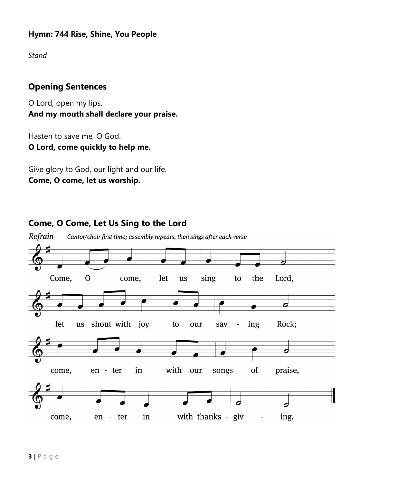#### **Hymn: 744 Rise, Shine, You People**

*Stand*

### **Opening Sentences**

O Lord, open my lips. **And my mouth shall declare your praise.**

Hasten to save me, O God. **O Lord, come quickly to help me.**

Give glory to God, our light and our life. **Come, O come, let us worship.**

**Come, O Come, Let Us Sing to the Lord**

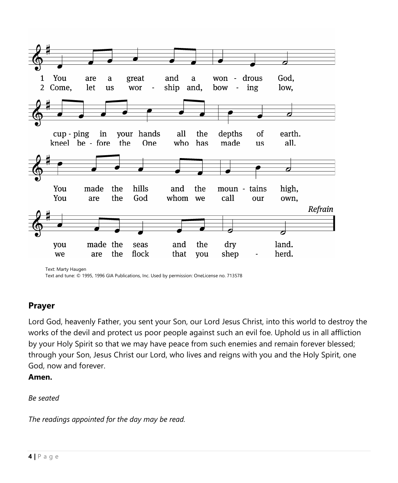

Text and tune: © 1995, 1996 GIA Publications, Inc. Used by permission: OneLicense no. 713578

#### **Prayer**

Lord God, heavenly Father, you sent your Son, our Lord Jesus Christ, into this world to destroy the works of the devil and protect us poor people against such an evil foe. Uphold us in all affliction by your Holy Spirit so that we may have peace from such enemies and remain forever blessed; through your Son, Jesus Christ our Lord, who lives and reigns with you and the Holy Spirit, one God, now and forever.

**Amen.**

*Be seated*

*The readings appointed for the day may be read.*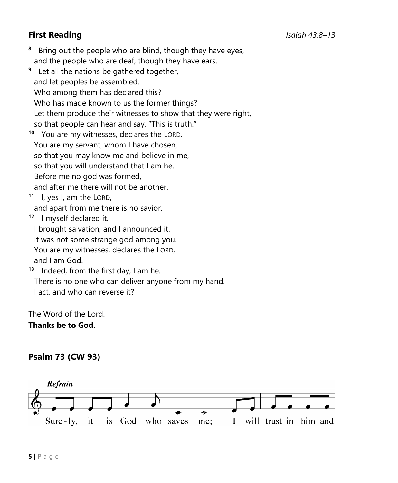# **First Reading** *Isaiah 43:8–13*

- **8** Bring out the people who are blind, though they have eyes, and the people who are deaf, though they have ears.
- **9** Let all the nations be gathered together, and let peoples be assembled. Who among them has declared this? Who has made known to us the former things? Let them produce their witnesses to show that they were right, so that people can hear and say, "This is truth."
- **10** You are my witnesses, declares the LORD. You are my servant, whom I have chosen, so that you may know me and believe in me, so that you will understand that I am he. Before me no god was formed, and after me there will not be another.

**11** I, yes I, am the LORD,

and apart from me there is no savior.

**12** I myself declared it.

I brought salvation, and I announced it.

It was not some strange god among you.

 You are my witnesses, declares the LORD, and I am God.

**13** Indeed, from the first day, I am he. There is no one who can deliver anyone from my hand. I act, and who can reverse it?

The Word of the Lord.

**Thanks be to God.**

#### **Psalm 73 (CW 93)**

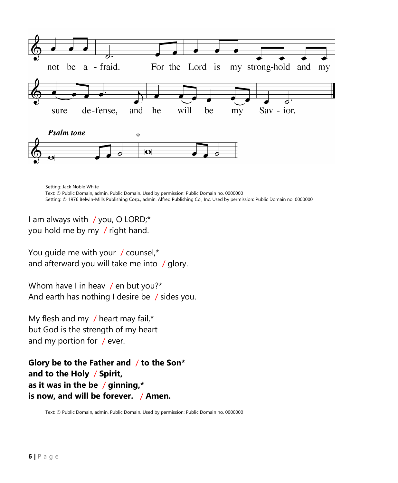

Setting: Jack Noble White Text: © Public Domain, admin. Public Domain. Used by permission: Public Domain no. 0000000 Setting: © 1976 Belwin-Mills Publishing Corp., admin. Alfred Publishing Co., Inc. Used by permission: Public Domain no. 0000000

I am always with / you, O LORD;\* you hold me by my / right hand.

You guide me with your / counsel,\* and afterward you will take me into / glory.

Whom have I in heav / en but you?\* And earth has nothing I desire be / sides you.

My flesh and my  $/$  heart may fail,\* but God is the strength of my heart and my portion for / ever.

**Glory be to the Father and** / **to the Son\* and to the Holy** / **Spirit, as it was in the be** / **ginning,\* is now, and will be forever.** / **Amen.**

Text: © Public Domain, admin. Public Domain. Used by permission: Public Domain no. 0000000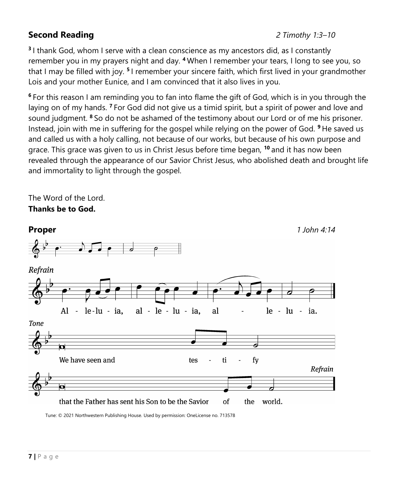### **Second Reading** *2 Timothy 1:3–10*

**3** I thank God, whom I serve with a clean conscience as my ancestors did, as I constantly remember you in my prayers night and day. **<sup>4</sup>** When I remember your tears, I long to see you, so that I may be filled with joy. **<sup>5</sup>** I remember your sincere faith, which first lived in your grandmother Lois and your mother Eunice, and I am convinced that it also lives in you.

**<sup>6</sup>** For this reason I am reminding you to fan into flame the gift of God, which is in you through the laying on of my hands. **<sup>7</sup>** For God did not give us a timid spirit, but a spirit of power and love and sound judgment. **<sup>8</sup>** So do not be ashamed of the testimony about our Lord or of me his prisoner. Instead, join with me in suffering for the gospel while relying on the power of God. **<sup>9</sup>** He saved us and called us with a holy calling, not because of our works, but because of his own purpose and grace. This grace was given to us in Christ Jesus before time began, **<sup>10</sup>** and it has now been revealed through the appearance of our Savior Christ Jesus, who abolished death and brought life and immortality to light through the gospel.

The Word of the Lord. **Thanks be to God.**



Tune: © 2021 Northwestern Publishing House. Used by permission: OneLicense no. 713578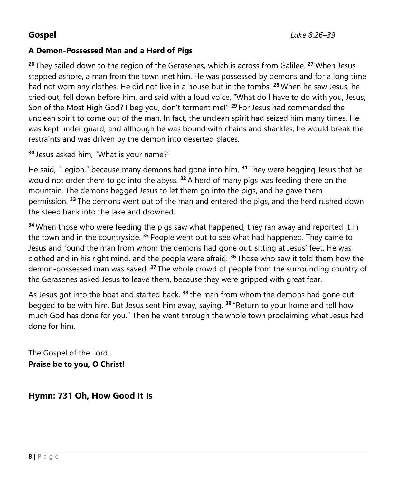#### **A Demon-Possessed Man and a Herd of Pigs**

**<sup>26</sup>** They sailed down to the region of the Gerasenes, which is across from Galilee. **<sup>27</sup>** When Jesus stepped ashore, a man from the town met him. He was possessed by demons and for a long time had not worn any clothes. He did not live in a house but in the tombs. **<sup>28</sup>** When he saw Jesus, he cried out, fell down before him, and said with a loud voice, "What do I have to do with you, Jesus, Son of the Most High God? I beg you, don't torment me!" **<sup>29</sup>** For Jesus had commanded the unclean spirit to come out of the man. In fact, the unclean spirit had seized him many times. He was kept under guard, and although he was bound with chains and shackles, he would break the restraints and was driven by the demon into deserted places.

**<sup>30</sup>** Jesus asked him, "What is your name?"

He said, "Legion," because many demons had gone into him. **<sup>31</sup>** They were begging Jesus that he would not order them to go into the abyss. **<sup>32</sup>** A herd of many pigs was feeding there on the mountain. The demons begged Jesus to let them go into the pigs, and he gave them permission. **<sup>33</sup>** The demons went out of the man and entered the pigs, and the herd rushed down the steep bank into the lake and drowned.

**<sup>34</sup>** When those who were feeding the pigs saw what happened, they ran away and reported it in the town and in the countryside. **<sup>35</sup>** People went out to see what had happened. They came to Jesus and found the man from whom the demons had gone out, sitting at Jesus' feet. He was clothed and in his right mind, and the people were afraid. **<sup>36</sup>** Those who saw it told them how the demon-possessed man was saved. **<sup>37</sup>** The whole crowd of people from the surrounding country of the Gerasenes asked Jesus to leave them, because they were gripped with great fear.

As Jesus got into the boat and started back, **<sup>38</sup>** the man from whom the demons had gone out begged to be with him. But Jesus sent him away, saying, **<sup>39</sup>** "Return to your home and tell how much God has done for you." Then he went through the whole town proclaiming what Jesus had done for him.

The Gospel of the Lord. **Praise be to you, O Christ!**

**Hymn: 731 Oh, How Good It Is**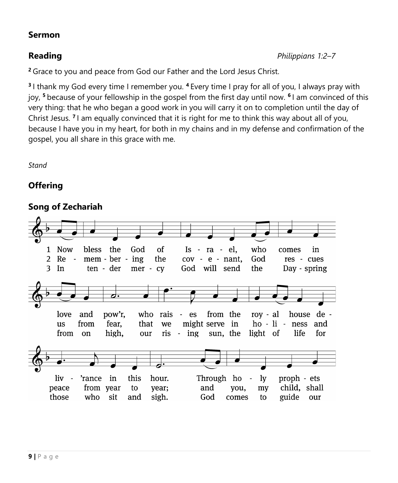#### **Sermon**

**<sup>2</sup>** Grace to you and peace from God our Father and the Lord Jesus Christ.

**3** I thank my God every time I remember you. **<sup>4</sup>** Every time I pray for all of you, I always pray with joy, **<sup>5</sup>** because of your fellowship in the gospel from the first day until now. **<sup>6</sup>** I am convinced of this very thing: that he who began a good work in you will carry it on to completion until the day of Christ Jesus. **<sup>7</sup>** I am equally convinced that it is right for me to think this way about all of you, because I have you in my heart, for both in my chains and in my defense and confirmation of the gospel, you all share in this grace with me.

*Stand*

# **Offering**

# **Song of Zechariah**

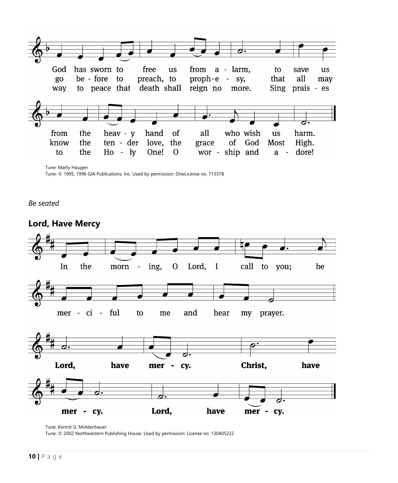

Tune: Marty Haugen

Tune: © 1995, 1996 GIA Publications, Inc. Used by permission: OneLicense no. 713578

*Be seated*



### **Lord, Have Mercy**

Tune: Kermit G. Moldenhauer

Tune: © 2002 Northwestern Publishing House. Used by permission: License no. 130405222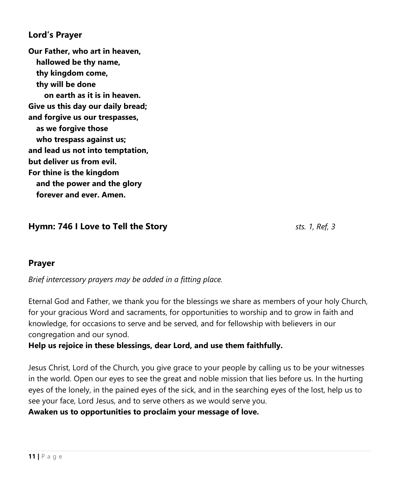#### **Lord's Prayer**

**Our Father, who art in heaven, hallowed be thy name, thy kingdom come, thy will be done on earth as it is in heaven. Give us this day our daily bread; and forgive us our trespasses, as we forgive those who trespass against us; and lead us not into temptation, but deliver us from evil. For thine is the kingdom and the power and the glory forever and ever. Amen.**

#### **Hymn: 746 I Love to Tell the Story** *sts. 1, Ref, 3*

#### **Prayer**

*Brief intercessory prayers may be added in a fitting place.*

Eternal God and Father, we thank you for the blessings we share as members of your holy Church, for your gracious Word and sacraments, for opportunities to worship and to grow in faith and knowledge, for occasions to serve and be served, and for fellowship with believers in our congregation and our synod.

#### **Help us rejoice in these blessings, dear Lord, and use them faithfully.**

Jesus Christ, Lord of the Church, you give grace to your people by calling us to be your witnesses in the world. Open our eyes to see the great and noble mission that lies before us. In the hurting eyes of the lonely, in the pained eyes of the sick, and in the searching eyes of the lost, help us to see your face, Lord Jesus, and to serve others as we would serve you.

#### **Awaken us to opportunities to proclaim your message of love.**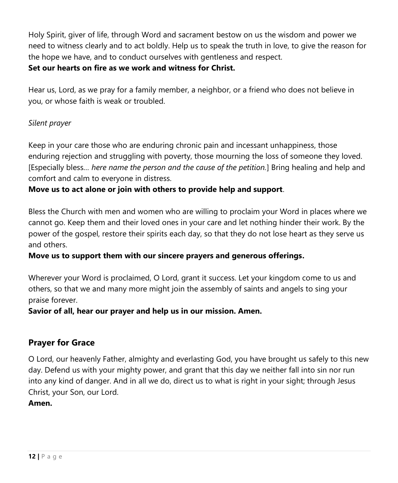Holy Spirit, giver of life, through Word and sacrament bestow on us the wisdom and power we need to witness clearly and to act boldly. Help us to speak the truth in love, to give the reason for the hope we have, and to conduct ourselves with gentleness and respect.

#### **Set our hearts on fire as we work and witness for Christ.**

Hear us, Lord, as we pray for a family member, a neighbor, or a friend who does not believe in you, or whose faith is weak or troubled.

#### *Silent prayer*

Keep in your care those who are enduring chronic pain and incessant unhappiness, those enduring rejection and struggling with poverty, those mourning the loss of someone they loved. [Especially bless*… here name the person and the cause of the petition.*] Bring healing and help and comfort and calm to everyone in distress.

#### **Move us to act alone or join with others to provide help and support**.

Bless the Church with men and women who are willing to proclaim your Word in places where we cannot go. Keep them and their loved ones in your care and let nothing hinder their work. By the power of the gospel, restore their spirits each day, so that they do not lose heart as they serve us and others.

#### **Move us to support them with our sincere prayers and generous offerings.**

Wherever your Word is proclaimed, O Lord, grant it success. Let your kingdom come to us and others, so that we and many more might join the assembly of saints and angels to sing your praise forever.

#### **Savior of all, hear our prayer and help us in our mission. Amen.**

#### **Prayer for Grace**

O Lord, our heavenly Father, almighty and everlasting God, you have brought us safely to this new day. Defend us with your mighty power, and grant that this day we neither fall into sin nor run into any kind of danger. And in all we do, direct us to what is right in your sight; through Jesus Christ, your Son, our Lord.

#### **Amen.**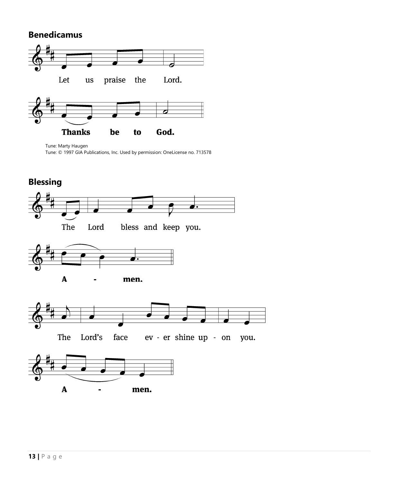#### **Benedicamus**



Tune: Marty Haugen Tune: © 1997 GIA Publications, Inc. Used by permission: OneLicense no. 713578

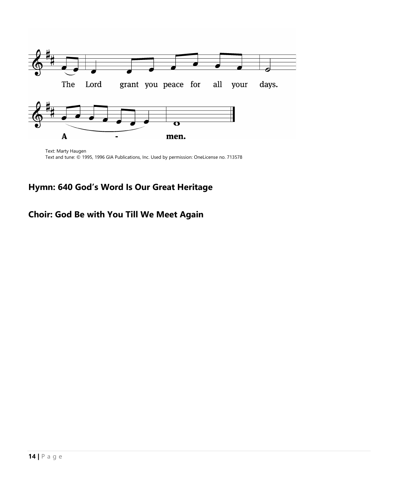

Text: Marty Haugen Text and tune: © 1995, 1996 GIA Publications, Inc. Used by permission: OneLicense no. 713578

# **Hymn: 640 God's Word Is Our Great Heritage**

### **Choir: God Be with You Till We Meet Again**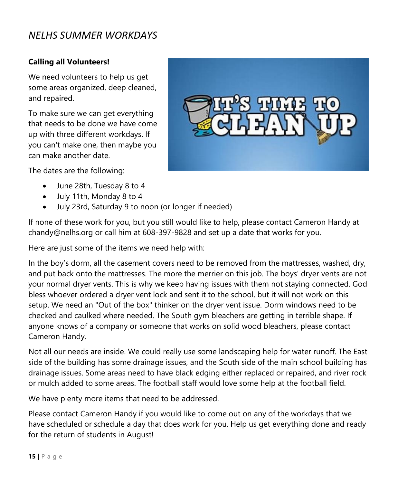# *NELHS SUMMER WORKDAYS*

#### **Calling all Volunteers!**

We need volunteers to help us get some areas organized, deep cleaned, and repaired.

To make sure we can get everything that needs to be done we have come up with three different workdays. If you can't make one, then maybe you can make another date.

The dates are the following:

- June 28th, Tuesday 8 to 4
- July 11th, Monday 8 to 4
- July 23rd, Saturday 9 to noon (or longer if needed)

If none of these work for you, but you still would like to help, please contact Cameron Handy at chandy@nelhs.org or call him at 608-397-9828 and set up a date that works for you.

Here are just some of the items we need help with:

In the boy's dorm, all the casement covers need to be removed from the mattresses, washed, dry, and put back onto the mattresses. The more the merrier on this job. The boys' dryer vents are not your normal dryer vents. This is why we keep having issues with them not staying connected. God bless whoever ordered a dryer vent lock and sent it to the school, but it will not work on this setup. We need an "Out of the box" thinker on the dryer vent issue. Dorm windows need to be checked and caulked where needed. The South gym bleachers are getting in terrible shape. If anyone knows of a company or someone that works on solid wood bleachers, please contact Cameron Handy.

Not all our needs are inside. We could really use some landscaping help for water runoff. The East side of the building has some drainage issues, and the South side of the main school building has drainage issues. Some areas need to have black edging either replaced or repaired, and river rock or mulch added to some areas. The football staff would love some help at the football field.

We have plenty more items that need to be addressed.

Please contact Cameron Handy if you would like to come out on any of the workdays that we have scheduled or schedule a day that does work for you. Help us get everything done and ready for the return of students in August!